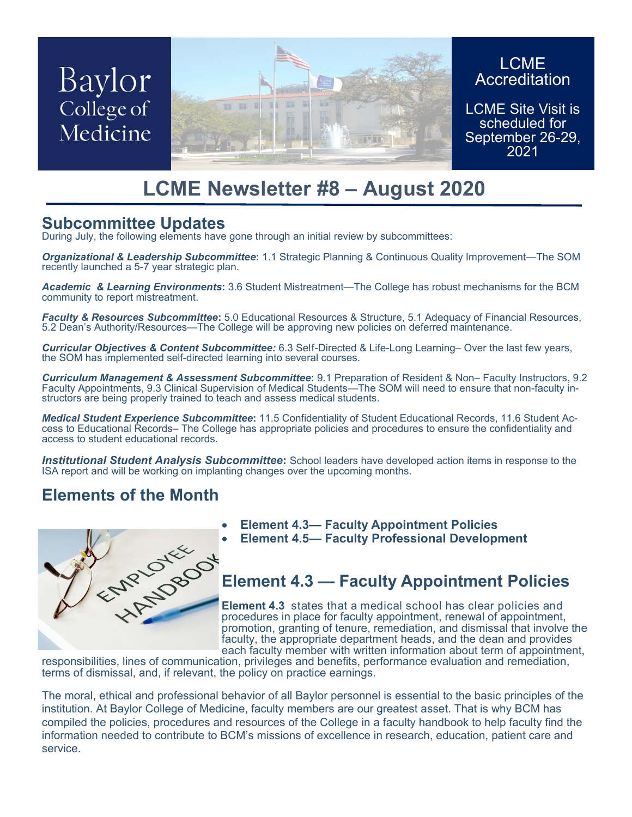# Baylor College of Medicine



### LCME **Accreditation**

LCME Site Visit is scheduled for September 26-29, 2021

## **LCME Newsletter #8 – August 2020**

## **Subcommittee Updates**

During July, the following elements have gone through an initial review by subcommittees:

*Organizational & Leadership Subcommittee***:** 1.1 Strategic Planning & Continuous Quality Improvement—The SOM recently launched a 5-7 year strategic plan.

*Academic & Learning Environments***:** 3.6 Student Mistreatment—The College has robust mechanisms for the BCM community to report mistreatment.

*Faculty & Resources Subcommittee***:** 5.0 Educational Resources & Structure, 5.1 Adequacy of Financial Resources, 5.2 Dean's Authority/Resources—The College will be approving new policies on deferred maintenance.

*Curricular Objectives & Content Subcommittee:* 6.3 Self-Directed & Life-Long Learning– Over the last few years, the SOM has implemented self-directed learning into several courses.

*Curriculum Management & Assessment Subcommittee***:** 9.1 Preparation of Resident & Non– Faculty Instructors, 9.2 Faculty Appointments, 9.3 Clinical Supervision of Medical Students—The SOM will need to ensure that non-faculty instructors are being properly trained to teach and assess medical students.

*Medical Student Experience Subcommittee***:** 11.5 Confidentiality of Student Educational Records, 11.6 Student Access to Educational Records– The College has appropriate policies and procedures to ensure the confidentiality and access to student educational records.

**Institutional Student Analysis Subcommittee:** School leaders have developed action items in response to the ISA report and will be working on implanting changes over the upcoming months.

## **Elements of the Month**



- 
- **Element 4.5— Faculty Professional Development**

## **Element 4.3 — Faculty Appointment Policies**

**Element 4.3** states that a medical school has clear policies and procedures in place for faculty appointment, renewal of appointment, promotion, granting of tenure, remediation, and dismissal that involve the faculty, the appropriate department heads, and the dean and provides each faculty member with written information about term of appointment,

responsibilities, lines of communication, privileges and benefits, performance evaluation and remediation, terms of dismissal, and, if relevant, the policy on practice earnings.

The moral, ethical and professional behavior of all Baylor personnel is essential to the basic principles of the institution. At Baylor College of Medicine, faculty members are our greatest asset. That is why BCM has compiled the policies, procedures and resources of the College in a faculty handbook to help faculty find the information needed to contribute to BCM's missions of excellence in research, education, patient care and service.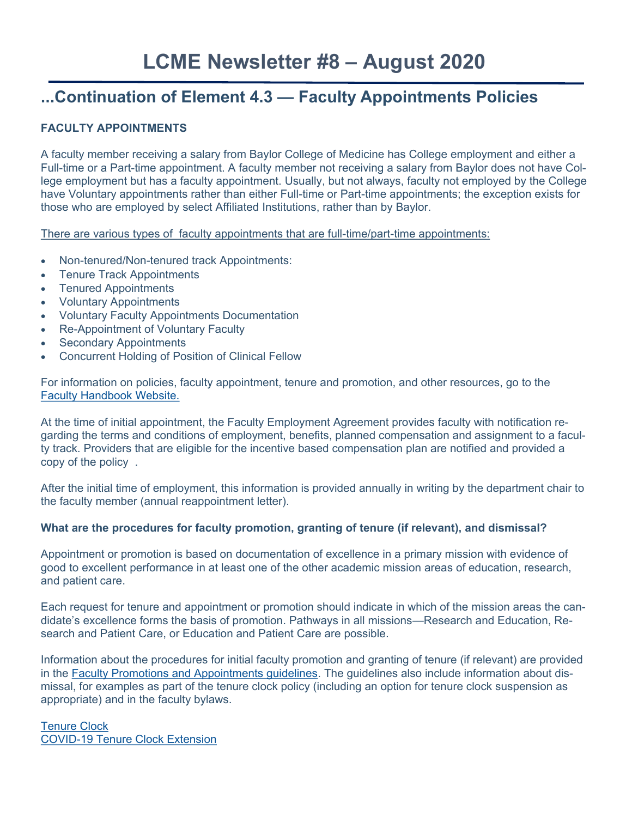## **LCME Newsletter #8 – August 2020**

## **...Continuation of Element 4.3 — Faculty Appointments Policies**

#### **FACULTY APPOINTMENTS**

A faculty member receiving a salary from Baylor College of Medicine has College employment and either a Full-time or a Part-time appointment. A faculty member not receiving a salary from Baylor does not have College employment but has a faculty appointment. Usually, but not always, faculty not employed by the College have Voluntary appointments rather than either Full-time or Part-time appointments; the exception exists for those who are employed by select Affiliated Institutions, rather than by Baylor.

There are various types of faculty appointments that are full-time/part-time appointments:

- Non-tenured/Non-tenured track Appointments:
- Tenure Track Appointments
- Tenured Appointments
- Voluntary Appointments
- Voluntary Faculty Appointments Documentation
- Re-Appointment of Voluntary Faculty
- Secondary Appointments
- Concurrent Holding of Position of Clinical Fellow

For information on policies, faculty appointment, tenure and promotion, and other resources, go to the [Faculty Handbook Website.](https://www.bcm.edu/education/academic-faculty-affairs/faculty-resources/faculty-handbook)

At the time of initial appointment, the Faculty Employment Agreement provides faculty with notification regarding the terms and conditions of employment, benefits, planned compensation and assignment to a faculty track. Providers that are eligible for the incentive based compensation plan are notified and provided a copy of the policy .

After the initial time of employment, this information is provided annually in writing by the department chair to the faculty member (annual reappointment letter).

#### **What are the procedures for faculty promotion, granting of tenure (if relevant), and dismissal?**

Appointment or promotion is based on documentation of excellence in a primary mission with evidence of good to excellent performance in at least one of the other academic mission areas of education, research, and patient care.

Each request for tenure and appointment or promotion should indicate in which of the mission areas the candidate's excellence forms the basis of promotion. Pathways in all missions—Research and Education, Research and Patient Care, or Education and Patient Care are possible.

Information about the procedures for initial faculty promotion and granting of tenure (if relevant) are provided in the [Faculty Promotions and Appointments guidelines.](https://www.bcm.edu/sites/default/files/2018/cf/2017bcm-fap-ib.pdf) The guidelines also include information about dismissal, for examples as part of the tenure clock policy (including an option for tenure clock suspension as appropriate) and in the faculty bylaws.

[Tenure Clock](https://www.bcm.edu/sites/default/files/2017/3f/2017bcm-fap-f.pdf) COVID-[19 Tenure Clock Extension](https://www.bcm.edu/education/academic-faculty-affairs/faculty-resources/appointments-promotions#:~:text=In%20response%2C%20we%20are%20granting,associate%20professor%20(tenure%20track).&text=Faculty%20members%20with%20tenure%20track,effect%20on%20March%201)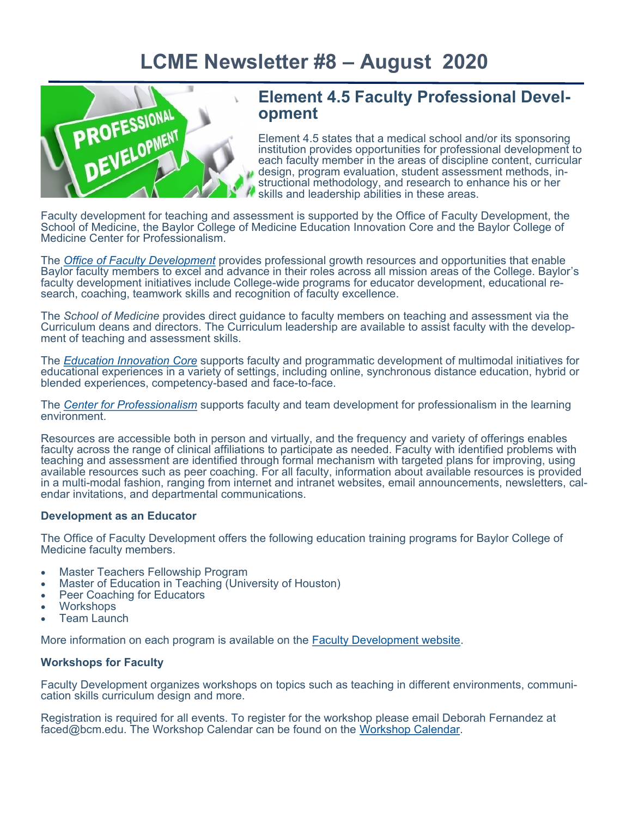

## **Element 4.5 Faculty Professional Development**

Element 4.5 states that a medical school and/or its sponsoring institution provides opportunities for professional development to each faculty member in the areas of discipline content, curricular design, program evaluation, student assessment methods, instructional methodology, and research to enhance his or her skills and leadership abilities in these areas.

Faculty development for teaching and assessment is supported by the Office of Faculty Development, the School of Medicine, the Baylor College of Medicine Education Innovation Core and the Baylor College of Medicine Center for Professionalism.

The *[Office of Faculty Development](https://www.bcm.edu/education/academic-faculty-affairs/faculty-resources/faculty-development)* provides professional growth resources and opportunities that enable Baylor faculty members to excel and advance in their roles across all mission areas of the College. Baylor's faculty development initiatives include College-wide programs for educator development, educational research, coaching, teamwork skills and recognition of faculty excellence.

The *School of Medicine* provides direct guidance to faculty members on teaching and assessment via the Curriculum deans and directors. The Curriculum leadership are available to assist faculty with the development of teaching and assessment skills.

The *[Education Innovation Core](https://www.bcm.edu/education/academic-faculty-affairs/faculty-resources/education-innovation-core)* supports faculty and programmatic development of multimodal initiatives for educational experiences in a variety of settings, including online, synchronous distance education, hybrid or blended experiences, competency-based and face-to-face.

The *[Center for Professionalism](https://www.bcm.edu/education/academic-faculty-affairs/center-professionalism)* supports faculty and team development for professionalism in the learning environment.

Resources are accessible both in person and virtually, and the frequency and variety of offerings enables faculty across the range of clinical affiliations to participate as needed. Faculty with identified problems with teaching and assessment are identified through formal mechanism with targeted plans for improving, using available resources such as peer coaching. For all faculty, information about available resources is provided in a multi-modal fashion, ranging from internet and intranet websites, email announcements, newsletters, calendar invitations, and departmental communications.

#### **Development as an Educator**

The Office of Faculty Development offers the following education training programs for Baylor College of Medicine faculty members.

- Master Teachers Fellowship Program
- Master of Education in Teaching (University of Houston)
- Peer Coaching for Educators
- **Workshops**
- Team Launch

More information on each program is available on the **Faculty Development website**.

#### **Workshops for Faculty**

Faculty Development organizes workshops on topics such as teaching in different environments, communication skills curriculum design and more.

Registration is required for all events. To register for the workshop please email Deborah Fernandez at faced@bcm.edu. The Workshop Calendar can be found on the [Workshop Calendar.](https://www.bcm.edu/education/academic-faculty-affairs/faculty-resources/faculty-development/workshop-calendar)